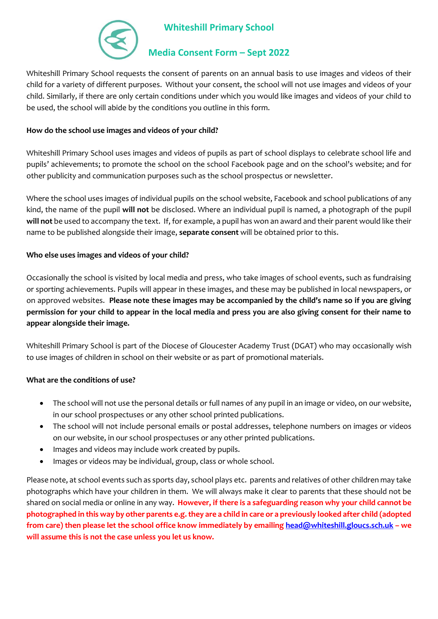

# **Whiteshill Primary School**

## **Media Consent Form – Sept 2022**

Whiteshill Primary School requests the consent of parents on an annual basis to use images and videos of their child for a variety of different purposes. Without your consent, the school will not use images and videos of your child. Similarly, if there are only certain conditions under which you would like images and videos of your child to be used, the school will abide by the conditions you outline in this form.

## **How do the school use images and videos of your child?**

Whiteshill Primary School uses images and videos of pupils as part of school displays to celebrate school life and pupils' achievements; to promote the school on the school Facebook page and on the school's website; and for other publicity and communication purposes such as the school prospectus or newsletter.

Where the school uses images of individual pupils on the school website, Facebook and school publications of any kind, the name of the pupil **will not** be disclosed. Where an individual pupil is named, a photograph of the pupil **will not** be used to accompany the text. If, for example, a pupil has won an award and their parent would like their name to be published alongside their image, **separate consent** will be obtained prior to this.

### **Who else uses images and videos of your child?**

Occasionally the school is visited by local media and press, who take images of school events, such as fundraising or sporting achievements. Pupils will appear in these images, and these may be published in local newspapers, or on approved websites. **Please note these images may be accompanied by the child's name so if you are giving permission for your child to appear in the local media and press you are also giving consent for their name to appear alongside their image.**

Whiteshill Primary School is part of the Diocese of Gloucester Academy Trust (DGAT) who may occasionally wish to use images of children in school on their website or as part of promotional materials.

### **What are the conditions of use?**

- The school will not use the personal details or full names of any pupil in an image or video, on our website, in our school prospectuses or any other school printed publications.
- The school will not include personal emails or postal addresses, telephone numbers on images or videos on our website, in our school prospectuses or any other printed publications.
- Images and videos may include work created by pupils.
- Images or videos may be individual, group, class or whole school.

Please note, at school events such as sports day, school plays etc. parents and relatives of other children may take photographs which have your children in them. We will always make it clear to parents that these should not be shared on social media or online in any way. **However, if there is a safeguarding reason why your child cannot be photographed in this way by other parents e.g. they are a child in care or a previously looked after child (adopted from care) then please let the school office know immediately by emailin[g head@whiteshill.gloucs.sch.uk](mailto:head@whiteshill.gloucs.sch.uk) – we will assume this is not the case unless you let us know.**